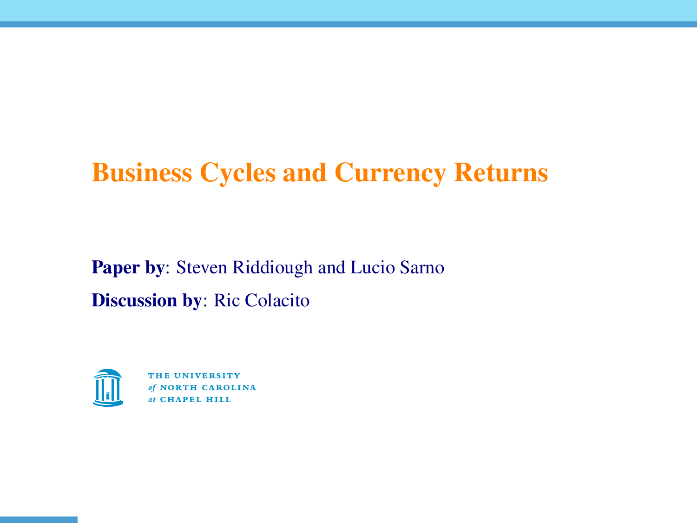## Business Cycles and Currency Returns

Paper by: Steven Riddiough and Lucio Sarno Discussion by: Ric Colacito



AROLINA at CHAPEL HILL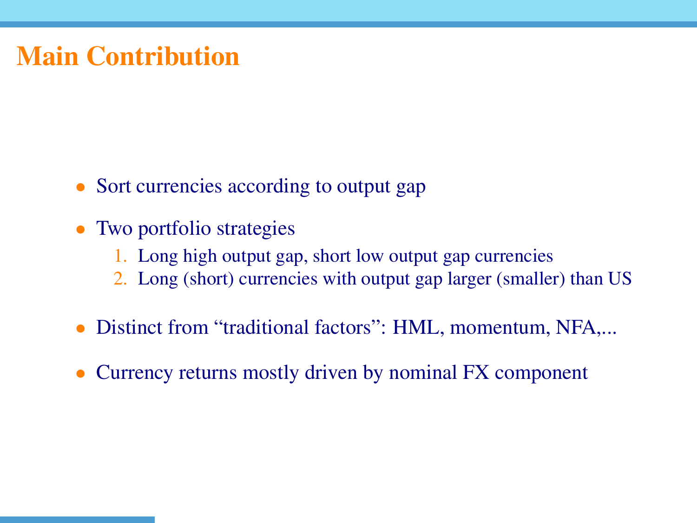## Main Contribution

- Sort currencies according to output gap
- Two portfolio strategies
	- 1. Long high output gap, short low output gap currencies
	- 2. Long (short) currencies with output gap larger (smaller) than US
- Distinct from "traditional factors": HML, momentum, NFA,...
- Currency returns mostly driven by nominal FX component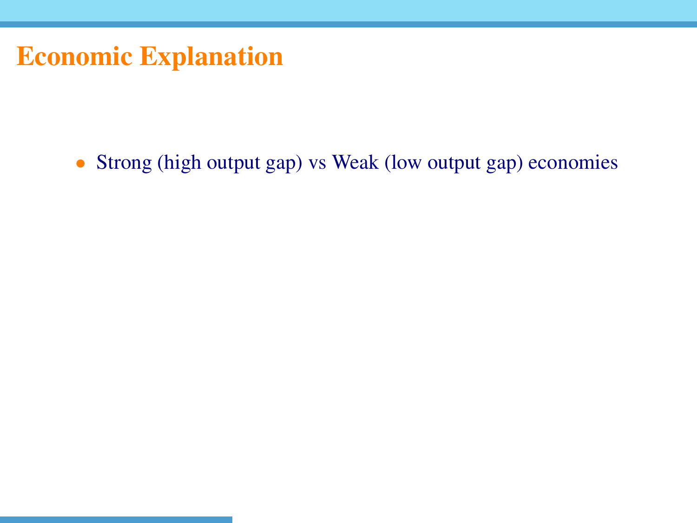• Strong (high output gap) vs Weak (low output gap) economies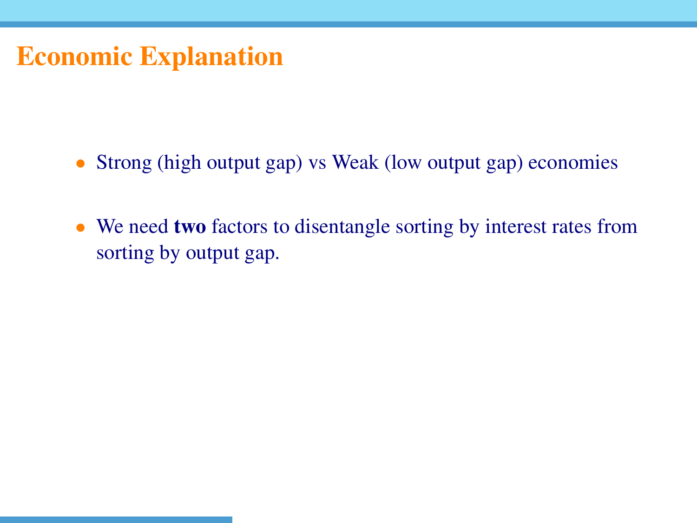- Strong (high output gap) vs Weak (low output gap) economies
- We need **two** factors to disentangle sorting by interest rates from sorting by output gap.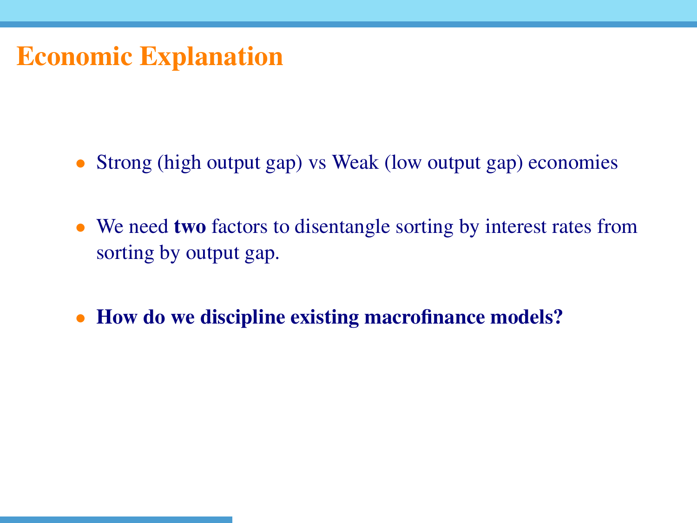- Strong (high output gap) vs Weak (low output gap) economies
- We need **two** factors to disentangle sorting by interest rates from sorting by output gap.
- How do we discipline existing macrofinance models?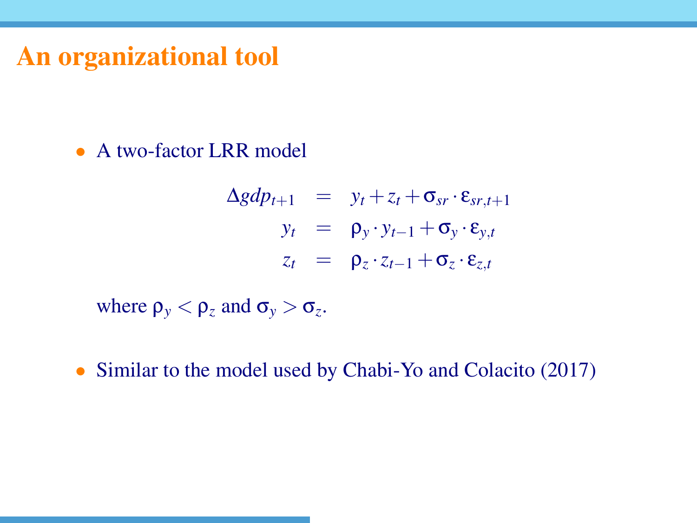## An organizational tool

• A two-factor LRR model

$$
\Delta gdp_{t+1} = y_t + z_t + \sigma_{sr} \cdot \varepsilon_{sr,t+1}
$$
  
\n
$$
y_t = \rho_y \cdot y_{t-1} + \sigma_y \cdot \varepsilon_{y,t}
$$
  
\n
$$
z_t = \rho_z \cdot z_{t-1} + \sigma_z \cdot \varepsilon_{z,t}
$$

where  $\rho_y < \rho_z$  and  $\sigma_y > \sigma_z$ .

• Similar to the model used by Chabi-Yo and Colacito (2017)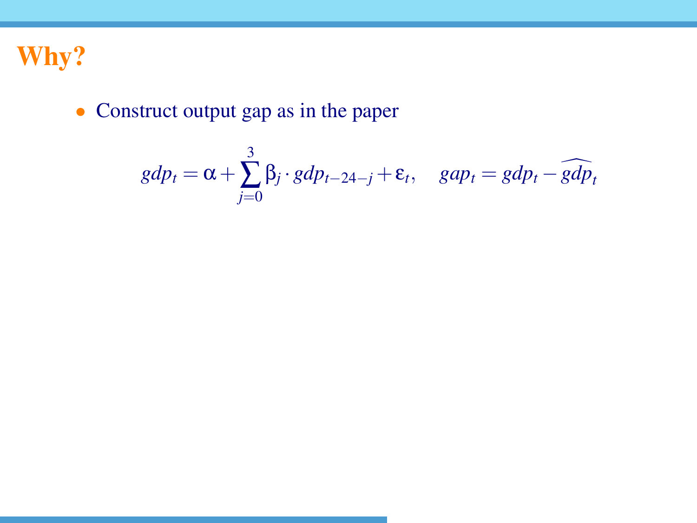

#### • Construct output gap as in the paper

$$
gdp_t = \alpha + \sum_{j=0}^{3} \beta_j \cdot gdp_{t-24-j} + \varepsilon_t, \quad gap_t = gdp_t - \widehat{gdp}_t
$$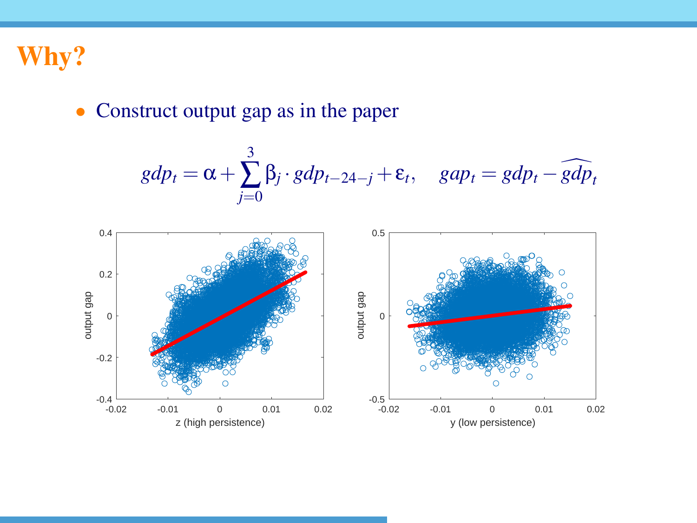

#### • Construct output gap as in the paper

$$
gdp_t = \alpha + \sum_{j=0}^{3} \beta_j \cdot gdp_{t-24-j} + \varepsilon_t, \quad gap_t = gdp_t - \widehat{gdp_t}
$$

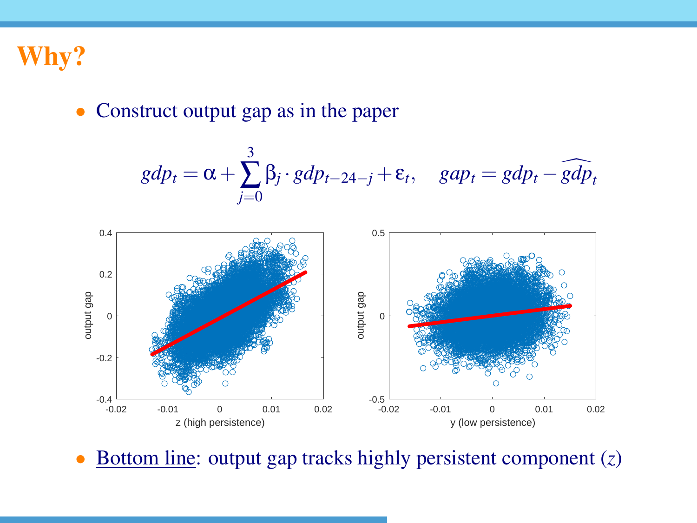

#### • Construct output gap as in the paper





• Bottom line: output gap tracks highly persistent component (*z*)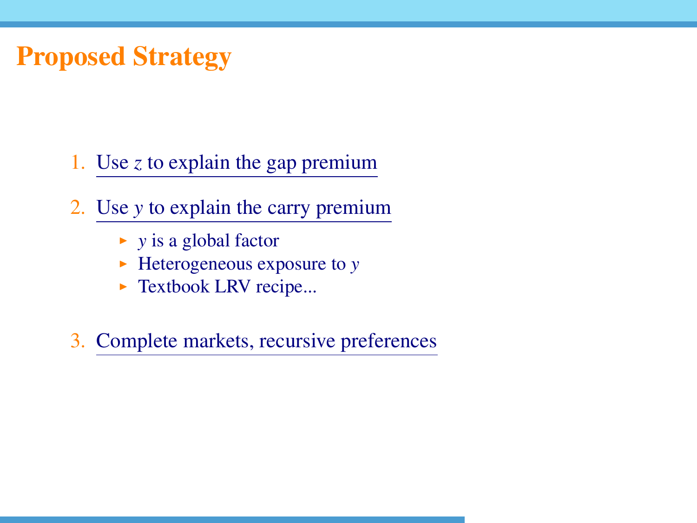## Proposed Strategy

- 1. Use *z* to explain the gap premium
- 2. Use *y* to explain the carry premium
	- $\rightarrow$  *y* is a global factor
	- $\blacktriangleright$  Heterogeneous exposure to *y*
	- $\blacktriangleright$  Textbook LRV recipe...
- 3. Complete markets, recursive preferences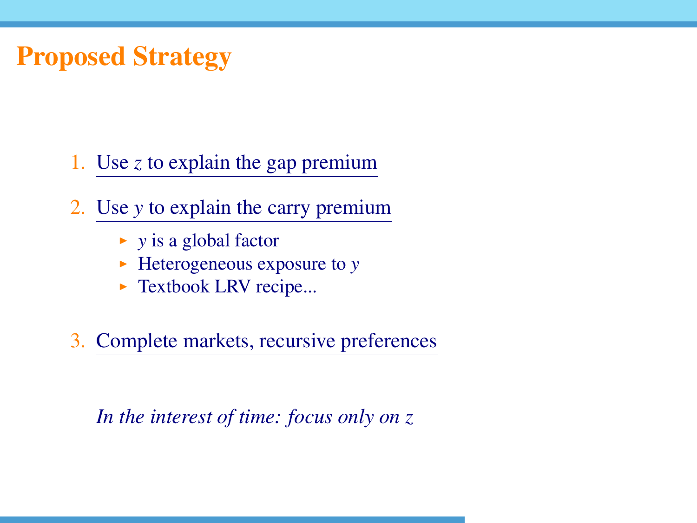## Proposed Strategy

1. Use *z* to explain the gap premium

2. Use *y* to explain the carry premium

- $\rightarrow$  *y* is a global factor
- $\blacktriangleright$  Heterogeneous exposure to *y*
- $\blacktriangleright$  Textbook LRV recipe...

3. Complete markets, recursive preferences

*In the interest of time: focus only on z*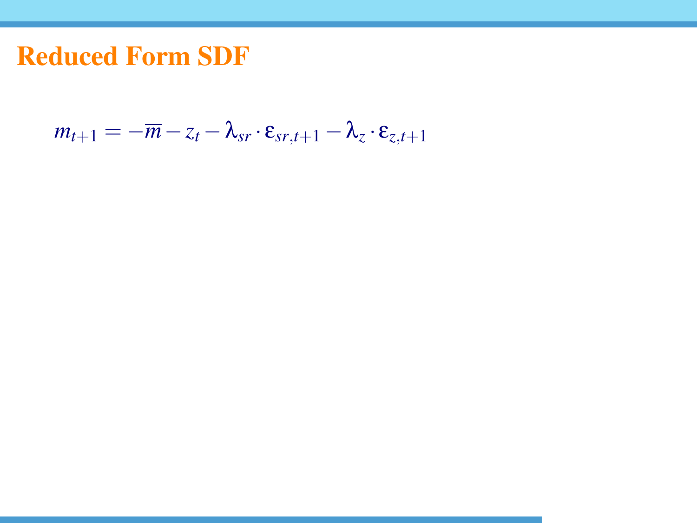$$
m_{t+1} = -\overline{m} - z_t - \lambda_{sr} \cdot \varepsilon_{sr,t+1} - \lambda_z \cdot \varepsilon_{z,t+1}
$$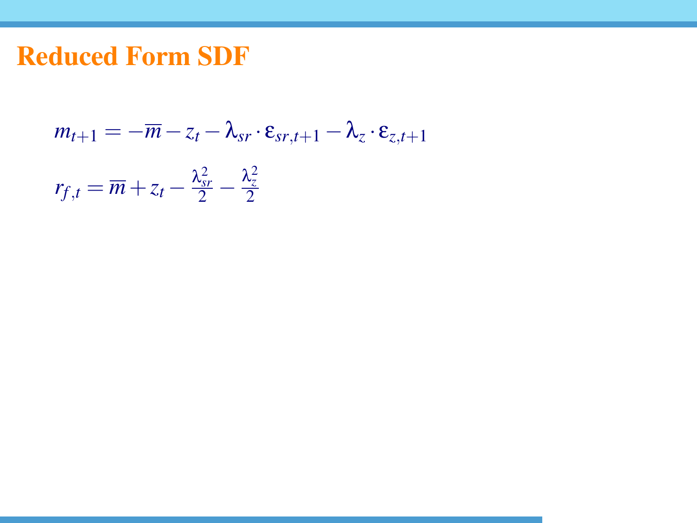$$
m_{t+1} = -\overline{m} - z_t - \lambda_{sr} \cdot \varepsilon_{sr,t+1} - \lambda_z \cdot \varepsilon_{z,t+1}
$$

$$
r_{f,t} = \overline{m} + z_t - \frac{\lambda_{sr}^2}{2} - \frac{\lambda_z^2}{2}
$$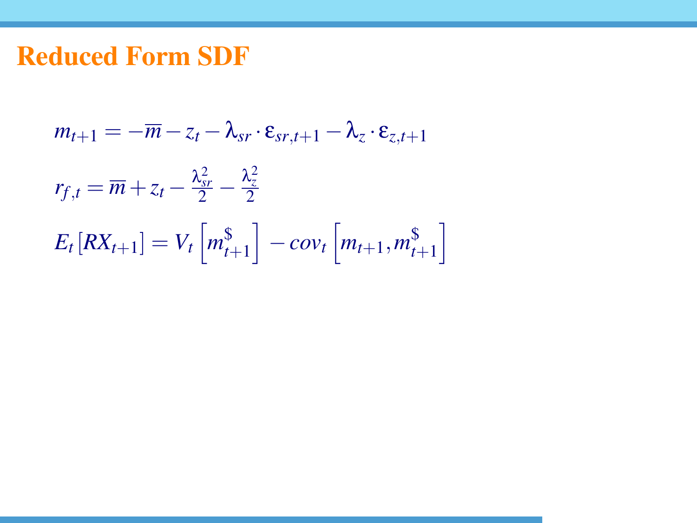$$
m_{t+1} = -\overline{m} - z_t - \lambda_{sr} \cdot \varepsilon_{sr, t+1} - \lambda_z \cdot \varepsilon_{z, t+1}
$$
  

$$
r_{f,t} = \overline{m} + z_t - \frac{\lambda_{sr}^2}{2} - \frac{\lambda_z^2}{2}
$$
  

$$
E_t [RX_{t+1}] = V_t \left[ m_{t+1}^{\$} \right] - cov_t \left[ m_{t+1}, m_{t+1}^{\$} \right]
$$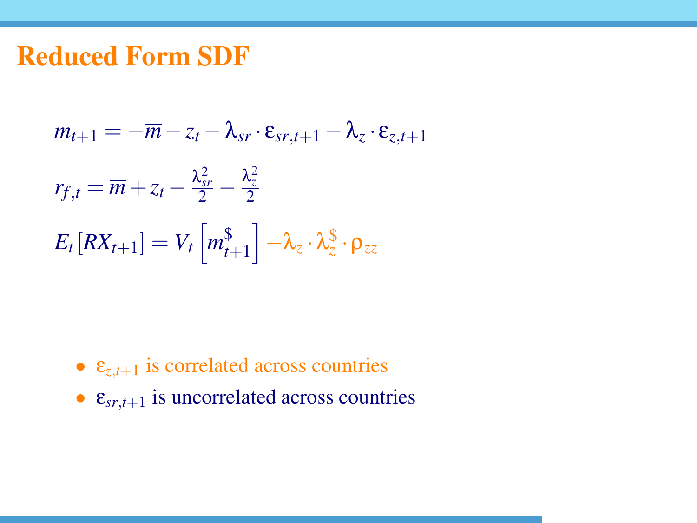$$
m_{t+1} = -\overline{m} - z_t - \lambda_{sr} \cdot \varepsilon_{sr,t+1} - \lambda_z \cdot \varepsilon_{z,t+1}
$$
  

$$
r_{f,t} = \overline{m} + z_t - \frac{\lambda_{sr}^2}{2} - \frac{\lambda_z^2}{2}
$$
  

$$
E_t [RX_{t+1}] = V_t [m_{t+1}^{\$}] - \lambda_z \cdot \lambda_z^{\$} \cdot \rho_{zz}
$$

- $\varepsilon_{z,t+1}$  is correlated across countries
- $\varepsilon_{sr,t+1}$  is uncorrelated across countries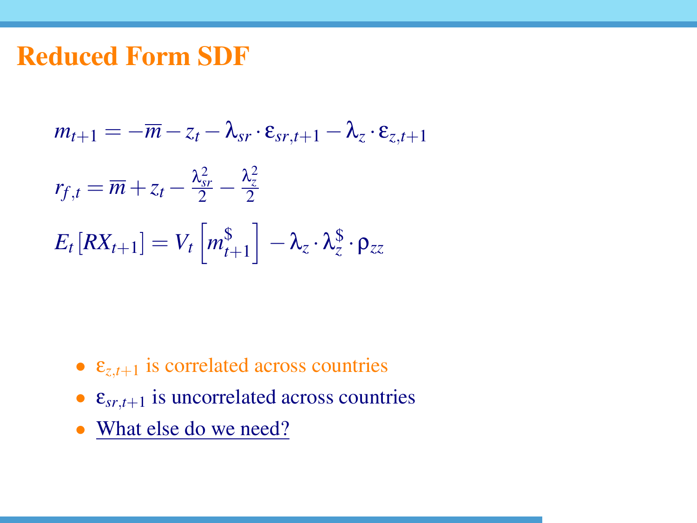$$
m_{t+1} = -\overline{m} - z_t - \lambda_{sr} \cdot \varepsilon_{sr,t+1} - \lambda_z \cdot \varepsilon_{z,t+1}
$$
  

$$
r_{f,t} = \overline{m} + z_t - \frac{\lambda_{sr}^2}{2} - \frac{\lambda_z^2}{2}
$$
  

$$
E_t [RX_{t+1}] = V_t [m_{t+1}^{\$}] - \lambda_z \cdot \lambda_z^{\$} \cdot \rho_{zz}
$$

- $\varepsilon_{z,t+1}$  is correlated across countries
- $\varepsilon_{sr,t+1}$  is uncorrelated across countries
- What else do we need?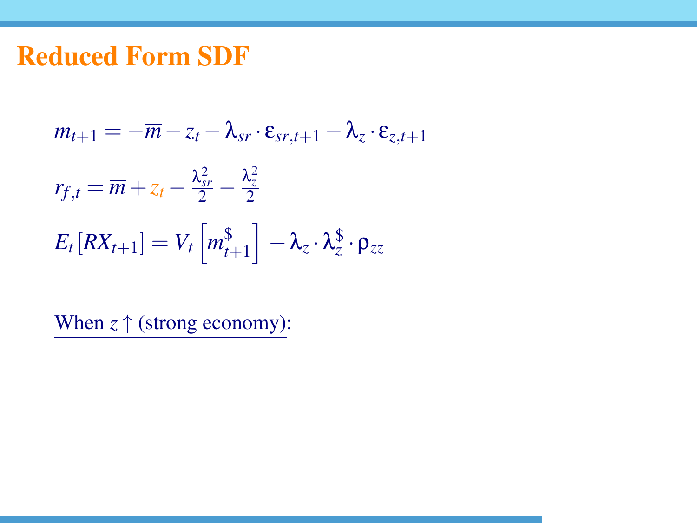$$
m_{t+1} = -\overline{m} - z_t - \lambda_{sr} \cdot \varepsilon_{sr,t+1} - \lambda_z \cdot \varepsilon_{z,t+1}
$$
  

$$
r_{f,t} = \overline{m} + z_t - \frac{\lambda_{sr}^2}{2} - \frac{\lambda_z^2}{2}
$$
  

$$
E_t [RX_{t+1}] = V_t [m_{t+1}^{\$}] - \lambda_z \cdot \lambda_z^{\$} \cdot \rho_{zz}
$$

When *z* ↑ (strong economy):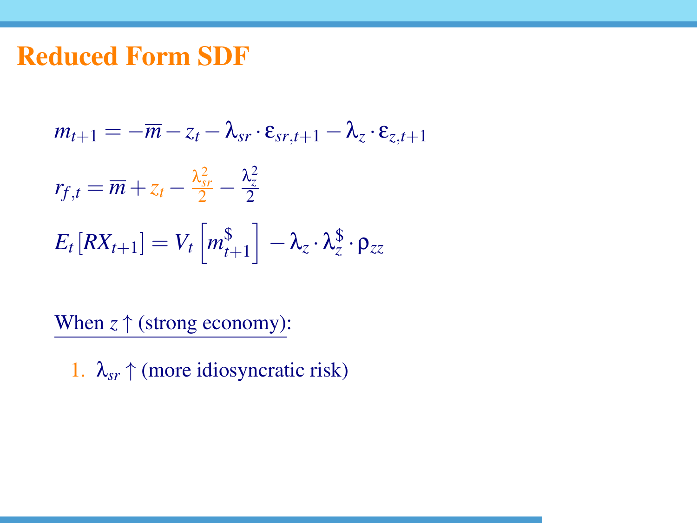$$
m_{t+1} = -\overline{m} - z_t - \lambda_{sr} \cdot \varepsilon_{sr,t+1} - \lambda_z \cdot \varepsilon_{z,t+1}
$$
  

$$
r_{f,t} = \overline{m} + z_t - \frac{\lambda_{sr}^2}{2} - \frac{\lambda_z^2}{2}
$$
  

$$
E_t [RX_{t+1}] = V_t \left[ m_{t+1}^{\$} \right] - \lambda_z \cdot \lambda_z^{\$} \cdot \rho_{zz}
$$

When  $z \uparrow$  (strong economy):

1.  $\lambda_{sr} \uparrow$  (more idiosyncratic risk)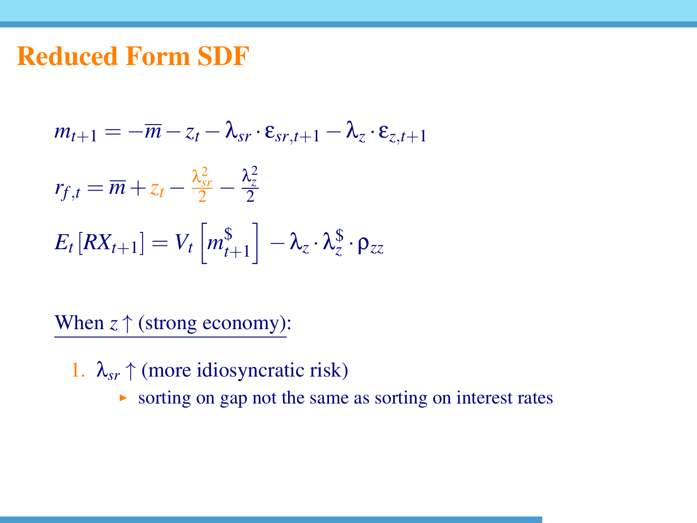$$
m_{t+1} = -\overline{m} - z_t - \lambda_{sr} \cdot \varepsilon_{sr,t+1} - \lambda_z \cdot \varepsilon_{z,t+1}
$$
  

$$
r_{f,t} = \overline{m} + z_t - \frac{\lambda_{sr}^2}{2} - \frac{\lambda_z^2}{2}
$$
  

$$
E_t [RX_{t+1}] = V_t \left[ m_{t+1}^{\$} \right] - \lambda_z \cdot \lambda_z^{\$} \cdot \rho_{zz}
$$

- 1.  $\lambda_{sr} \uparrow$  (more idiosyncratic risk)
	- $\triangleright$  sorting on gap not the same as sorting on interest rates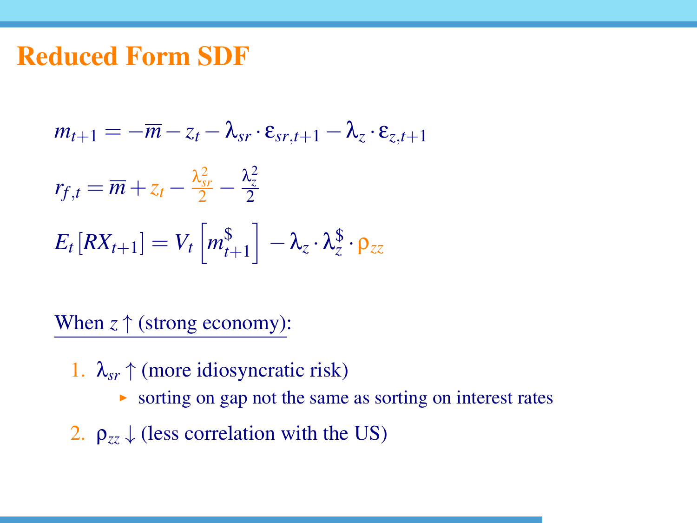$$
m_{t+1} = -\overline{m} - z_t - \lambda_{sr} \cdot \varepsilon_{sr,t+1} - \lambda_z \cdot \varepsilon_{z,t+1}
$$
  

$$
r_{f,t} = \overline{m} + z_t - \frac{\lambda_{sr}^2}{2} - \frac{\lambda_z^2}{2}
$$
  

$$
E_t [RX_{t+1}] = V_t \left[ m_{t+1}^{\$} \right] - \lambda_z \cdot \lambda_z^{\$} \cdot \rho_{zz}
$$

- 1.  $\lambda_{sr} \uparrow$  (more idiosyncratic risk)
	- $\triangleright$  sorting on gap not the same as sorting on interest rates
- 2.  $\rho_{zz} \downarrow$  (less correlation with the US)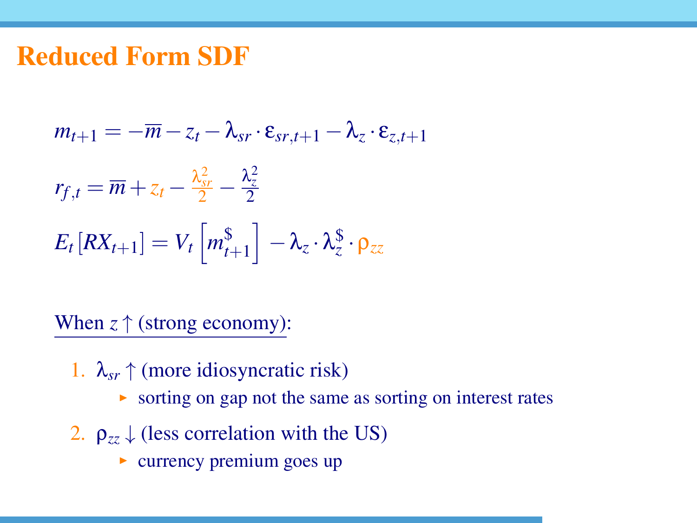$$
m_{t+1} = -\overline{m} - z_t - \lambda_{sr} \cdot \varepsilon_{sr,t+1} - \lambda_z \cdot \varepsilon_{z,t+1}
$$
  

$$
r_{f,t} = \overline{m} + z_t - \frac{\lambda_{sr}^2}{2} - \frac{\lambda_z^2}{2}
$$
  

$$
E_t [RX_{t+1}] = V_t \left[ m_{t+1}^{\$} \right] - \lambda_z \cdot \lambda_z^{\$} \cdot \rho_{zz}
$$

- 1.  $\lambda_{sr} \uparrow$  (more idiosyncratic risk)
	- $\triangleright$  sorting on gap not the same as sorting on interest rates
- 2.  $\rho_{zz} \downarrow$  (less correlation with the US)
	- $\triangleright$  currency premium goes up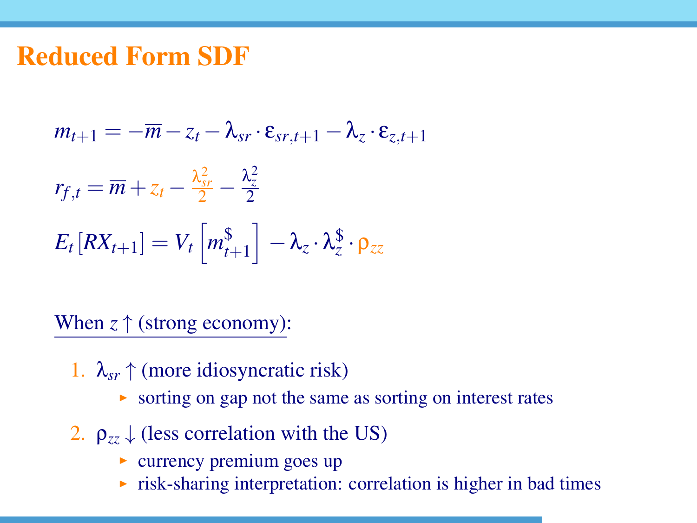$$
m_{t+1} = -\overline{m} - z_t - \lambda_{sr} \cdot \varepsilon_{sr,t+1} - \lambda_z \cdot \varepsilon_{z,t+1}
$$

$$
r_{f,t} = \overline{m} + z_t - \frac{\lambda_{sr}^2}{2} - \frac{\lambda_{z}^2}{2}
$$

$$
E_t [RX_{t+1}] = V_t \left[ m_{t+1}^{\$} \right] - \lambda_z \cdot \lambda_z^{\$} \cdot \rho_{zz}
$$

*t*+1

- 1.  $\lambda_{sr} \uparrow$  (more idiosyncratic risk)
	- $\triangleright$  sorting on gap not the same as sorting on interest rates
- 2.  $\rho_{zz} \downarrow$  (less correlation with the US)
	- $\triangleright$  currency premium goes up
	- $\triangleright$  risk-sharing interpretation: correlation is higher in bad times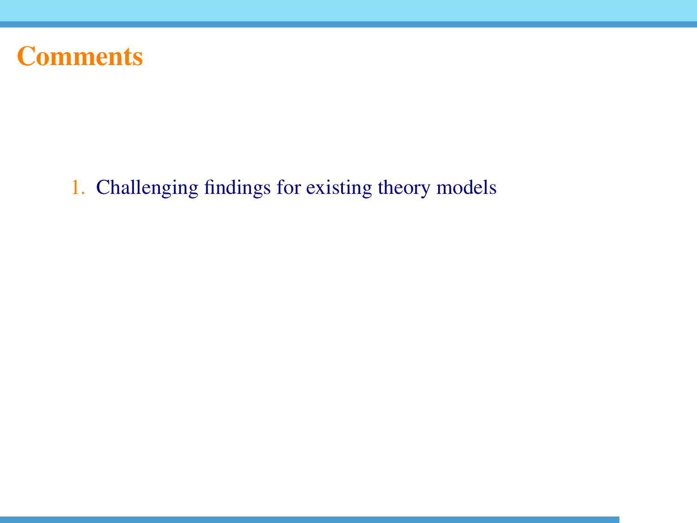## **Comments**

1. Challenging findings for existing theory models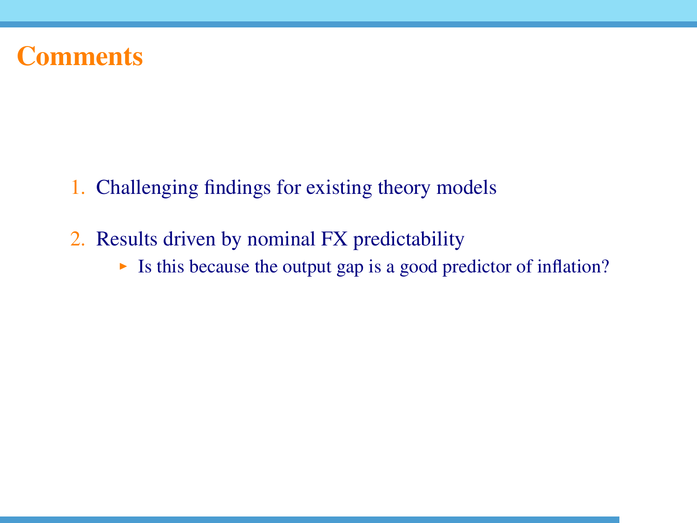## **Comments**

- 1. Challenging findings for existing theory models
- 2. Results driven by nominal FX predictability
	- If Its this because the output gap is a good predictor of inflation?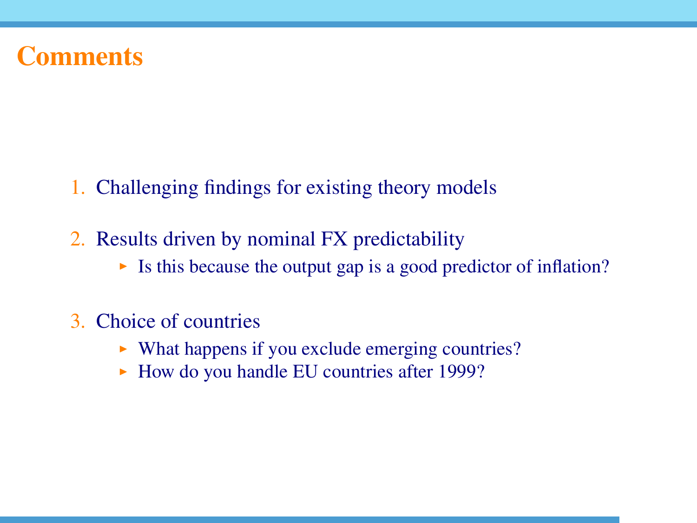### Comments

- 1. Challenging findings for existing theory models
- 2. Results driven by nominal FX predictability
	- If Its this because the output gap is a good predictor of inflation?

#### 3. Choice of countries

- $\triangleright$  What happens if you exclude emerging countries?
- $\blacktriangleright$  How do you handle EU countries after 1999?